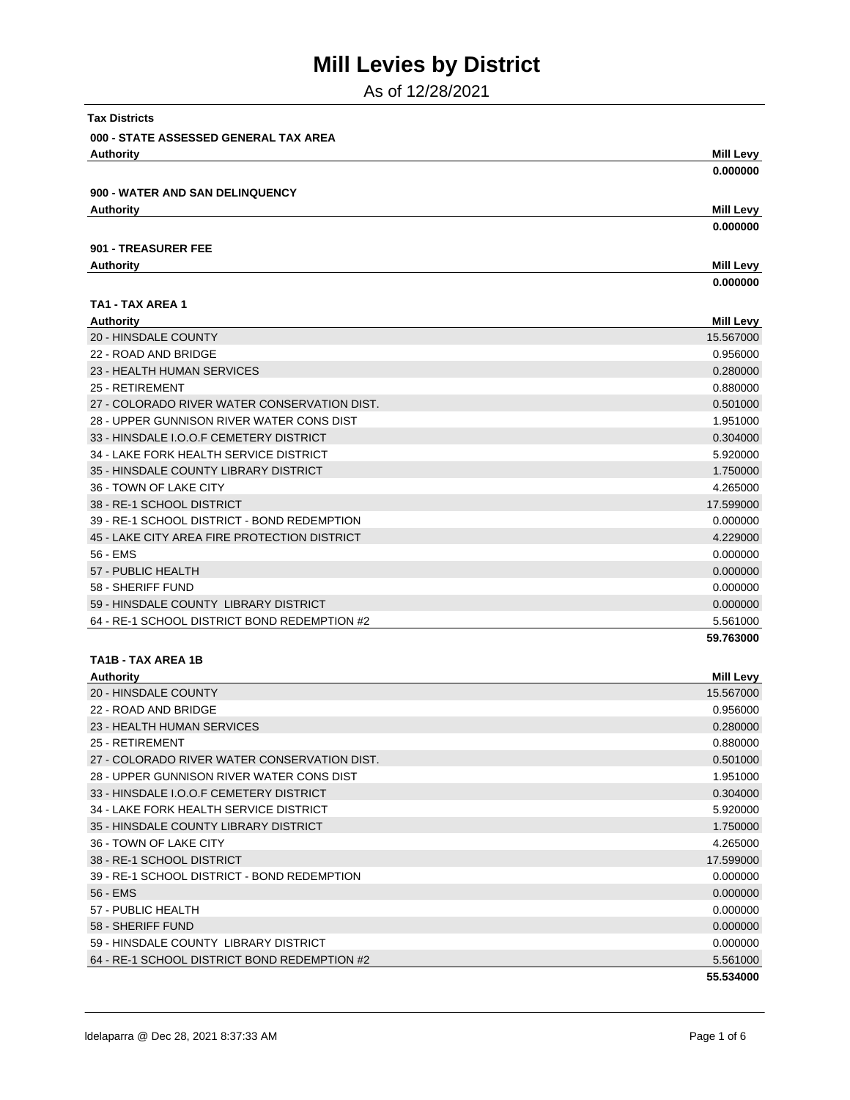As of 12/28/2021

| <b>Tax Districts</b>                         |                  |
|----------------------------------------------|------------------|
| 000 - STATE ASSESSED GENERAL TAX AREA        |                  |
| <b>Authority</b>                             | <b>Mill Levy</b> |
|                                              | 0.000000         |
| <b>900 - WATER AND SAN DELINQUENCY</b>       |                  |
| <b>Authority</b>                             | <b>Mill Levy</b> |
|                                              | 0.000000         |
| 901 - TREASURER FEE                          |                  |
|                                              | <b>Mill Levy</b> |
| <b>Authority</b>                             |                  |
|                                              | 0.000000         |
| TA1 - TAX AREA 1                             |                  |
| <b>Authority</b>                             | Mill Levy        |
| 20 - HINSDALE COUNTY                         | 15.567000        |
| 22 - ROAD AND BRIDGE                         | 0.956000         |
| 23 - HEALTH HUMAN SERVICES                   | 0.280000         |
| 25 - RETIREMENT                              | 0.880000         |
| 27 - COLORADO RIVER WATER CONSERVATION DIST. | 0.501000         |
| 28 - UPPER GUNNISON RIVER WATER CONS DIST    | 1.951000         |
| 33 - HINSDALE I.O.O.F CEMETERY DISTRICT      | 0.304000         |
| 34 - LAKE FORK HEALTH SERVICE DISTRICT       | 5.920000         |
| 35 - HINSDALE COUNTY LIBRARY DISTRICT        | 1.750000         |
| 36 - TOWN OF LAKE CITY                       | 4.265000         |
| 38 - RE-1 SCHOOL DISTRICT                    | 17.599000        |
| 39 - RE-1 SCHOOL DISTRICT - BOND REDEMPTION  | 0.000000         |
| 45 - LAKE CITY AREA FIRE PROTECTION DISTRICT | 4.229000         |
| 56 - EMS                                     | 0.000000         |
| 57 - PUBLIC HEALTH                           | 0.000000         |
| 58 - SHERIFF FUND                            | 0.000000         |
| 59 - HINSDALE COUNTY LIBRARY DISTRICT        | 0.000000         |
| 64 - RE-1 SCHOOL DISTRICT BOND REDEMPTION #2 | 5.561000         |
|                                              | 59.763000        |
| TA1B - TAX AREA 1B                           |                  |
| <b>Authority</b>                             | <b>Mill Levy</b> |
| 20 - HINSDALE COUNTY                         | 15.567000        |
| 22 - ROAD AND BRIDGE                         | 0.956000         |
| 23 - HEALTH HUMAN SERVICES                   | 0.280000         |
| 25 - RETIREMENT                              | 0.880000         |
| 27 - COLORADO RIVER WATER CONSERVATION DIST. | 0.501000         |
| 28 - UPPER GUNNISON RIVER WATER CONS DIST    | 1.951000         |
| 33 - HINSDALE I.O.O.F CEMETERY DISTRICT      | 0.304000         |
| 34 - LAKE FORK HEALTH SERVICE DISTRICT       | 5.920000         |
| 35 - HINSDALE COUNTY LIBRARY DISTRICT        | 1.750000         |
| 36 - TOWN OF LAKE CITY                       | 4.265000         |
| 38 - RE-1 SCHOOL DISTRICT                    | 17.599000        |
| 39 - RE-1 SCHOOL DISTRICT - BOND REDEMPTION  | 0.000000         |
| 56 - EMS                                     | 0.000000         |
| 57 - PUBLIC HEALTH                           | 0.000000         |
| 58 - SHERIFF FUND                            | 0.000000         |
| 59 - HINSDALE COUNTY LIBRARY DISTRICT        | 0.000000         |
| 64 - RE-1 SCHOOL DISTRICT BOND REDEMPTION #2 | 5.561000         |
|                                              | 55.534000        |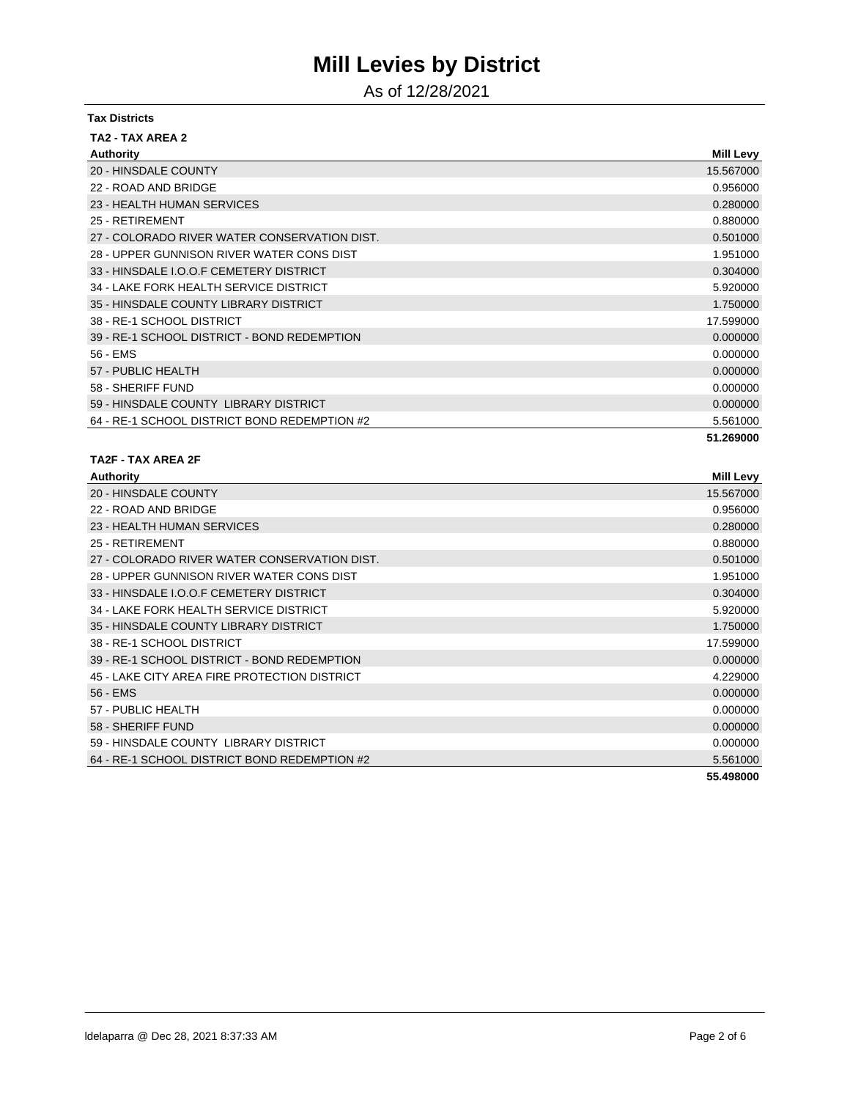As of 12/28/2021

| <b>Tax Districts</b>                         |                  |
|----------------------------------------------|------------------|
| TA2 - TAX AREA 2                             |                  |
| <b>Authority</b>                             | <b>Mill Levy</b> |
| 20 - HINSDALE COUNTY                         | 15.567000        |
| 22 - ROAD AND BRIDGE                         | 0.956000         |
| 23 - HEALTH HUMAN SERVICES                   | 0.280000         |
| 25 - RETIREMENT                              | 0.880000         |
| 27 - COLORADO RIVER WATER CONSERVATION DIST. | 0.501000         |
| 28 - UPPER GUNNISON RIVER WATER CONS DIST    | 1.951000         |
| 33 - HINSDALE I.O.O.F CEMETERY DISTRICT      | 0.304000         |
| 34 - LAKE FORK HEALTH SERVICE DISTRICT       | 5.920000         |
| 35 - HINSDALE COUNTY LIBRARY DISTRICT        | 1.750000         |
| 38 - RE-1 SCHOOL DISTRICT                    | 17.599000        |
| 39 - RE-1 SCHOOL DISTRICT - BOND REDEMPTION  | 0.000000         |
| 56 - EMS                                     | 0.000000         |
| 57 - PUBLIC HEALTH                           | 0.000000         |
| 58 - SHERIFF FUND                            | 0.000000         |
| 59 - HINSDALE COUNTY LIBRARY DISTRICT        | 0.000000         |
| 64 - RE-1 SCHOOL DISTRICT BOND REDEMPTION #2 | 5.561000         |
|                                              | 51.269000        |
| TA2F-TAX AREA 2F                             |                  |
| Authority                                    | <b>Mill Levv</b> |

| ,,,,,,,,,,,,                                 |           |
|----------------------------------------------|-----------|
| 20 - HINSDALE COUNTY                         | 15.567000 |
| 22 - ROAD AND BRIDGE                         | 0.956000  |
| 23 - HEALTH HUMAN SERVICES                   | 0.280000  |
| 25 - RETIREMENT                              | 0.880000  |
| 27 - COLORADO RIVER WATER CONSERVATION DIST. | 0.501000  |
| 28 - UPPER GUNNISON RIVER WATER CONS DIST    | 1.951000  |
| 33 - HINSDALE I.O.O.F CEMETERY DISTRICT      | 0.304000  |
| 34 - LAKE FORK HEALTH SERVICE DISTRICT       | 5.920000  |
| 35 - HINSDALE COUNTY LIBRARY DISTRICT        | 1.750000  |
| 38 - RE-1 SCHOOL DISTRICT                    | 17.599000 |
| 39 - RE-1 SCHOOL DISTRICT - BOND REDEMPTION  | 0.000000  |
| 45 - LAKE CITY AREA FIRE PROTECTION DISTRICT | 4.229000  |
| 56 - EMS                                     | 0.000000  |
| 57 - PUBLIC HEALTH                           | 0.000000  |
| 58 - SHERIFF FUND                            | 0.000000  |
| 59 - HINSDALE COUNTY LIBRARY DISTRICT        | 0.000000  |
| 64 - RE-1 SCHOOL DISTRICT BOND REDEMPTION #2 | 5.561000  |
|                                              | 55.498000 |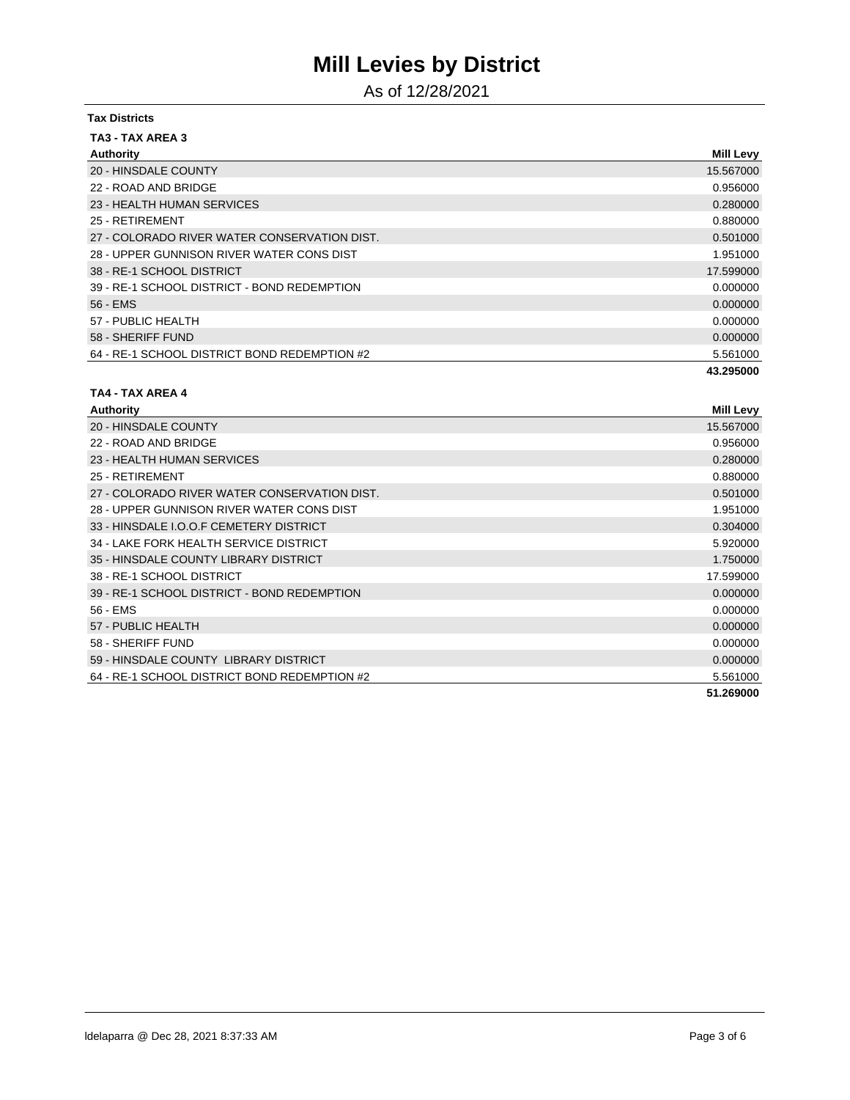As of 12/28/2021

| <b>Tax Districts</b>                         |           |
|----------------------------------------------|-----------|
| TA3 - TAX AREA 3                             |           |
| Authority                                    | Mill Levy |
| 20 - HINSDALE COUNTY                         | 15.567000 |
| 22 - ROAD AND BRIDGE                         | 0.956000  |
| 23 - HEALTH HUMAN SERVICES                   | 0.280000  |
| 25 - RETIREMENT                              | 0.880000  |
| 27 - COLORADO RIVER WATER CONSERVATION DIST. | 0.501000  |
| 28 - UPPER GUNNISON RIVER WATER CONS DIST    | 1.951000  |
| 38 - RE-1 SCHOOL DISTRICT                    | 17.599000 |
| 39 - RE-1 SCHOOL DISTRICT - BOND REDEMPTION  | 0.000000  |
| 56 - EMS                                     | 0.000000  |
| 57 - PUBLIC HEALTH                           | 0.000000  |
| 58 - SHERIFF FUND                            | 0.000000  |
| 64 - RE-1 SCHOOL DISTRICT BOND REDEMPTION #2 | 5.561000  |
|                                              | 43.295000 |

#### **TA4 - TAX AREA 4**

| Authority                                    | <b>Mill Levy</b> |
|----------------------------------------------|------------------|
| 20 - HINSDALE COUNTY                         | 15.567000        |
| 22 - ROAD AND BRIDGE                         | 0.956000         |
| 23 - HEALTH HUMAN SERVICES                   | 0.280000         |
| 25 - RETIREMENT                              | 0.880000         |
| 27 - COLORADO RIVER WATER CONSERVATION DIST. | 0.501000         |
| 28 - UPPER GUNNISON RIVER WATER CONS DIST    | 1.951000         |
| 33 - HINSDALE I.O.O.F CEMETERY DISTRICT      | 0.304000         |
| 34 - LAKE FORK HEALTH SERVICE DISTRICT       | 5.920000         |
| 35 - HINSDALE COUNTY LIBRARY DISTRICT        | 1.750000         |
| 38 - RE-1 SCHOOL DISTRICT                    | 17.599000        |
| 39 - RE-1 SCHOOL DISTRICT - BOND REDEMPTION  | 0.000000         |
| 56 - EMS                                     | 0.000000         |
| 57 - PUBLIC HEALTH                           | 0.000000         |
| 58 - SHERIFF FUND                            | 0.000000         |
| 59 - HINSDALE COUNTY LIBRARY DISTRICT        | 0.000000         |
| 64 - RE-1 SCHOOL DISTRICT BOND REDEMPTION #2 | 5.561000         |
|                                              | 51.269000        |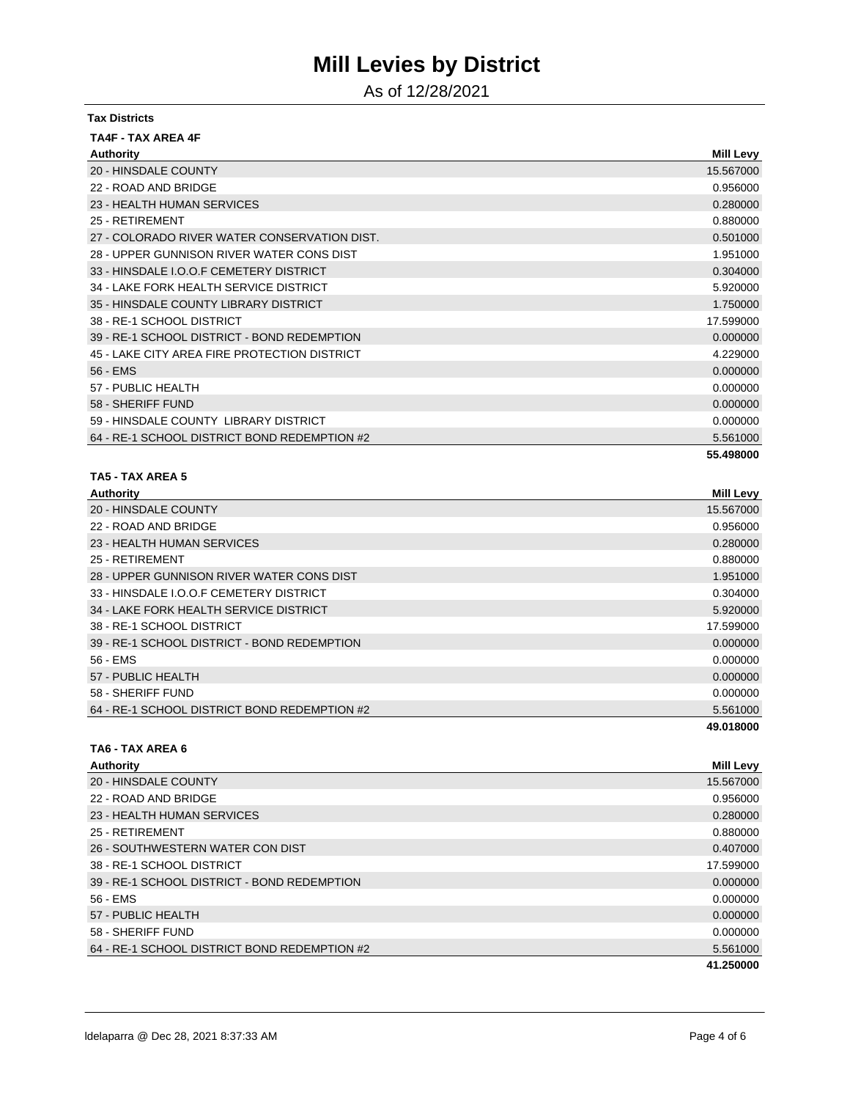As of 12/28/2021

| <b>Tax Districts</b>                         |                  |
|----------------------------------------------|------------------|
| <b>TA4F - TAX AREA 4F</b>                    |                  |
| <b>Authority</b>                             | <b>Mill Levy</b> |
| 20 - HINSDALE COUNTY                         | 15.567000        |
| 22 - ROAD AND BRIDGE                         | 0.956000         |
| 23 - HEALTH HUMAN SERVICES                   | 0.280000         |
| 25 - RETIREMENT                              | 0.880000         |
| 27 - COLORADO RIVER WATER CONSERVATION DIST. | 0.501000         |
| 28 - UPPER GUNNISON RIVER WATER CONS DIST    | 1.951000         |
| 33 - HINSDALE I.O.O.F CEMETERY DISTRICT      | 0.304000         |
| 34 - LAKE FORK HEALTH SERVICE DISTRICT       | 5.920000         |
| 35 - HINSDALE COUNTY LIBRARY DISTRICT        | 1.750000         |
| 38 - RE-1 SCHOOL DISTRICT                    | 17.599000        |
| 39 - RE-1 SCHOOL DISTRICT - BOND REDEMPTION  | 0.000000         |
| 45 - LAKE CITY AREA FIRE PROTECTION DISTRICT | 4.229000         |
| 56 - EMS                                     | 0.000000         |
| 57 - PUBLIC HEALTH                           | 0.000000         |
| 58 - SHERIFF FUND                            | 0.000000         |
| 59 - HINSDALE COUNTY LIBRARY DISTRICT        | 0.000000         |
| 64 - RE-1 SCHOOL DISTRICT BOND REDEMPTION #2 | 5.561000         |
|                                              | 55.498000        |

#### **TA5 - TAX AREA 5**

| Authority                                    | <b>Mill Levy</b> |
|----------------------------------------------|------------------|
| 20 - HINSDALE COUNTY                         | 15.567000        |
| 22 - ROAD AND BRIDGE                         | 0.956000         |
| 23 - HEALTH HUMAN SERVICES                   | 0.280000         |
| 25 - RETIREMENT                              | 0.880000         |
| 28 - UPPER GUNNISON RIVER WATER CONS DIST    | 1.951000         |
| 33 - HINSDALE I.O.O.F CEMETERY DISTRICT      | 0.304000         |
| 34 - LAKE FORK HEALTH SERVICE DISTRICT       | 5.920000         |
| 38 - RE-1 SCHOOL DISTRICT                    | 17.599000        |
| 39 - RE-1 SCHOOL DISTRICT - BOND REDEMPTION  | 0.000000         |
| 56 - EMS                                     | 0.000000         |
| 57 - PUBLIC HEALTH                           | 0.000000         |
| 58 - SHERIFF FUND                            | 0.000000         |
| 64 - RE-1 SCHOOL DISTRICT BOND REDEMPTION #2 | 5.561000         |
|                                              | 49.018000        |

### **TA6 - TAX AREA 6**

| Authority                                    | <b>Mill Levy</b> |
|----------------------------------------------|------------------|
| 20 - HINSDALE COUNTY                         | 15.567000        |
| 22 - ROAD AND BRIDGE                         | 0.956000         |
| 23 - HEALTH HUMAN SERVICES                   | 0.280000         |
| 25 - RETIREMENT                              | 0.880000         |
| 26 - SOUTHWESTERN WATER CON DIST             | 0.407000         |
| 38 - RE-1 SCHOOL DISTRICT                    | 17.599000        |
| 39 - RE-1 SCHOOL DISTRICT - BOND REDEMPTION  | 0.000000         |
| 56 - EMS                                     | 0.000000         |
| 57 - PUBLIC HEALTH                           | 0.000000         |
| 58 - SHERIFF FUND                            | 0.000000         |
| 64 - RE-1 SCHOOL DISTRICT BOND REDEMPTION #2 | 5.561000         |
|                                              | 41.250000        |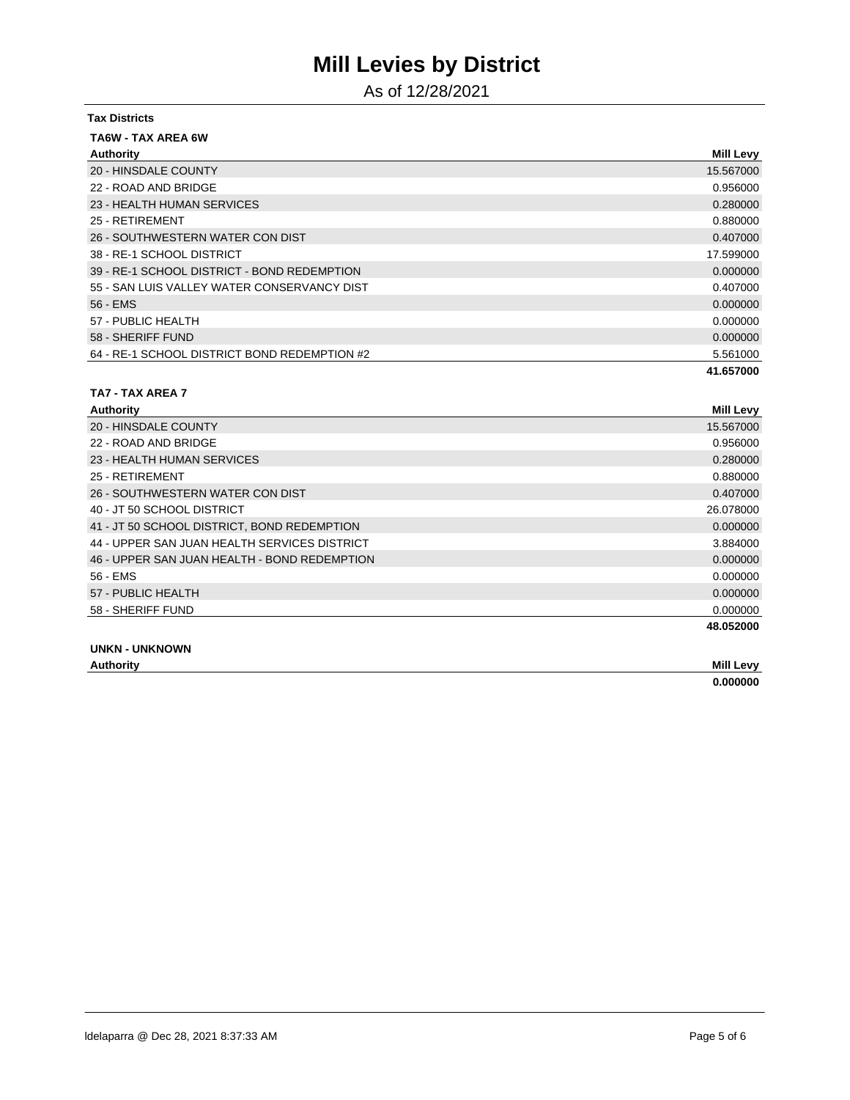As of 12/28/2021

| <b>Tax Districts</b>                         |                  |
|----------------------------------------------|------------------|
| <b>TA6W - TAX AREA 6W</b>                    |                  |
| Authority                                    | <b>Mill Levy</b> |
| 20 - HINSDALE COUNTY                         | 15.567000        |
| 22 - ROAD AND BRIDGE                         | 0.956000         |
| 23 - HEALTH HUMAN SERVICES                   | 0.280000         |
| 25 - RETIREMENT                              | 0.880000         |
| 26 - SOUTHWESTERN WATER CON DIST             | 0.407000         |
| 38 - RE-1 SCHOOL DISTRICT                    | 17.599000        |
| 39 - RE-1 SCHOOL DISTRICT - BOND REDEMPTION  | 0.000000         |
| 55 - SAN LUIS VALLEY WATER CONSERVANCY DIST  | 0.407000         |
| 56 - EMS                                     | 0.000000         |
| 57 - PUBLIC HEALTH                           | 0.000000         |
| 58 - SHERIFF FUND                            | 0.000000         |
| 64 - RE-1 SCHOOL DISTRICT BOND REDEMPTION #2 | 5.561000         |
|                                              | 41.657000        |
| TA7 - TAX AREA 7                             |                  |

| Authority                                    | <b>Mill Levy</b> |
|----------------------------------------------|------------------|
| 20 - HINSDALE COUNTY                         | 15.567000        |
| 22 - ROAD AND BRIDGE                         | 0.956000         |
| 23 - HEALTH HUMAN SERVICES                   | 0.280000         |
| 25 - RETIREMENT                              | 0.880000         |
| 26 - SOUTHWESTERN WATER CON DIST             | 0.407000         |
| 40 - JT 50 SCHOOL DISTRICT                   | 26.078000        |
| 41 - JT 50 SCHOOL DISTRICT, BOND REDEMPTION  | 0.000000         |
| 44 - UPPER SAN JUAN HEALTH SERVICES DISTRICT | 3.884000         |
| 46 - UPPER SAN JUAN HEALTH - BOND REDEMPTION | 0.000000         |
| 56 - EMS                                     | 0.000000         |
| 57 - PUBLIC HEALTH                           | 0.000000         |
| 58 - SHERIFF FUND                            | 0.000000         |
|                                              | 48.052000        |
|                                              |                  |

**UNKN - UNKNOWN**

| <b>Authority</b> | Mill<br>evv                                                                 |
|------------------|-----------------------------------------------------------------------------|
|                  | $\mathbf{a}\mathbf{a}\mathbf{a}\mathbf{a}\mathbf{a}\mathbf{a}$<br>пп.<br>лν |